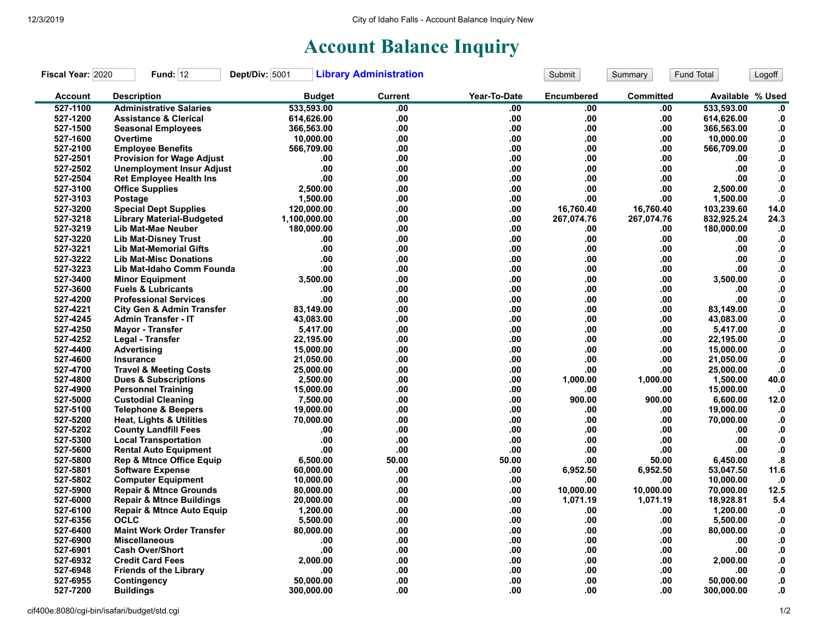## **Account Balance Inquiry**

| Fiscal Year: 2020 | <b>Fund: 12</b>                      | Dept/Div: 5001 | <b>Library Administration</b> |              | Submit            | Summary          | Fund Total       | Logoff            |
|-------------------|--------------------------------------|----------------|-------------------------------|--------------|-------------------|------------------|------------------|-------------------|
| <b>Account</b>    | <b>Description</b>                   | <b>Budget</b>  | <b>Current</b>                | Year-To-Date | <b>Encumbered</b> | <b>Committed</b> | Available % Used |                   |
| 527-1100          | <b>Administrative Salaries</b>       | 533,593.00     | .00                           | .00          | .00               | .00              | 533.593.00       | $\mathbf{0}$      |
| 527-1200          | <b>Assistance &amp; Clerical</b>     | 614,626.00     | .00                           | .00          | .00.              | .00              | 614,626.00       | $\mathbf{0}$      |
| 527-1500          | <b>Seasonal Employees</b>            | 366,563.00     | .00                           | .00          | .00               | .00              | 366,563.00       | $\mathbf{0}$      |
| 527-1600          | Overtime                             | 10,000.00      | .00                           | .00          | .00               | .00              | 10,000.00        | $\boldsymbol{0}$  |
| 527-2100          | <b>Employee Benefits</b>             | 566,709.00     | .00                           | .00          | .00               | .00              | 566,709.00       | ${\bf 0}.$        |
| 527-2501          | <b>Provision for Wage Adjust</b>     | .00            | .00                           | .00          | .00               | .00              | .00              | ${\bf 0}.$        |
| 527-2502          | <b>Unemployment Insur Adjust</b>     | .00            | .00                           | .00          | .00               | .00              | .00              | $\boldsymbol{0}$  |
| 527-2504          | <b>Ret Employee Health Ins</b>       | .00            | .00                           | .00          | .00               | .00              | .00              | ${\bf .0}$        |
| 527-3100          | <b>Office Supplies</b>               | 2,500.00       | .00                           | .00          | .00.              | .00              | 2,500.00         | ${\bf .0}$        |
| 527-3103          | Postage                              | 1,500.00       | .00                           | .00          | .00               | .00              | 1,500.00         | ${\bf .0}$        |
| 527-3200          | <b>Special Dept Supplies</b>         | 120,000.00     | .00                           | .00          | 16,760.40         | 16,760.40        | 103,239.60       | 14.0              |
| 527-3218          | <b>Library Material-Budgeted</b>     | 1,100,000.00   | .00                           | .00          | 267,074.76        | 267,074.76       | 832,925.24       | 24.3              |
| 527-3219          | Lib Mat-Mae Neuber                   | 180,000.00     | .00                           | .00          | .00               | .00              | 180,000.00       | $\mathbf{.0}$     |
| 527-3220          | <b>Lib Mat-Disney Trust</b>          | .00            | .00                           | .00.         | .00               | .00              | .00              | $\mathbf{.0}$     |
| 527-3221          | <b>Lib Mat-Memorial Gifts</b>        | .00            | .00                           | .00          | .00.              | .00              | .00              | $\mathbf{0}$      |
| 527-3222          | <b>Lib Mat-Misc Donations</b>        | .00            | .00                           | .00.         | .00               | .00              | .00              | ${\bf .0}$        |
| 527-3223          | Lib Mat-Idaho Comm Founda            | .00            | .00                           | .00.         | .00               | .00              | .00              | ${\bf 0}.$        |
| 527-3400          | <b>Minor Equipment</b>               | 3,500.00       | .00                           | .00          | .00.              | .00              | 3,500.00         | $\mathbf{0}$      |
| 527-3600          | <b>Fuels &amp; Lubricants</b>        | .00            | .00                           | .00          | .00               | .00              | .00              | ${\bf 0}.$        |
| 527-4200          | <b>Professional Services</b>         | .00            | .00                           | .00.         | .00.              | .00              | .00              | ${\bf .0}$        |
| 527-4221          | <b>City Gen &amp; Admin Transfer</b> | 83,149.00      | .00                           | .00          | .00.              | .00              | 83,149.00        | ${\bf 0}.$        |
| 527-4245          | <b>Admin Transfer - IT</b>           | 43,083.00      | .00                           | .00          | .00               | .00              | 43,083.00        | $\boldsymbol{0}$  |
| 527-4250          | <b>Mayor - Transfer</b>              | 5,417.00       | .00                           | .00          | .00               | .00              | 5,417.00         | ${\bf 0}.$        |
| 527-4252          | Legal - Transfer                     | 22,195.00      | .00                           | .00          | .00               | .00              | 22,195.00        | $\mathbf{0}$      |
| 527-4400          | Advertising                          | 15,000.00      | .00                           | .00.         | .00               | .00              | 15,000.00        | ${\bf .0}$        |
| 527-4600          | Insurance                            | 21,050.00      | .00                           | .00          | .00               | .00              | 21,050.00        | $\mathbf{0}$      |
| 527-4700          | <b>Travel &amp; Meeting Costs</b>    | 25,000.00      | .00                           | .00          | .00               | .00              | 25,000.00        | ${\bf .0}$        |
| 527-4800          | <b>Dues &amp; Subscriptions</b>      | 2,500.00       | .00                           | .00.         | 1,000.00          | 1,000.00         | 1,500.00         | 40.0              |
| 527-4900          | <b>Personnel Training</b>            | 15,000.00      | .00                           | .00          | .00               | .00              | 15,000.00        | $\cdot$           |
| 527-5000          | <b>Custodial Cleaning</b>            | 7,500.00       | .00                           | .00          | 900.00            | 900.00           | 6,600.00         | 12.0              |
| 527-5100          | <b>Telephone &amp; Beepers</b>       | 19,000.00      | .00                           | .00.         | .00               | .00              | 19,000.00        | $\mathbf{.0}$     |
| 527-5200          | <b>Heat, Lights &amp; Utilities</b>  | 70,000.00      | .00                           | .00.         | .00               | .00              | 70,000.00        | .0                |
| 527-5202          | <b>County Landfill Fees</b>          | .00            | .00                           | .00          | .00               | .00              | .00              | $\mathbf{.0}$     |
| 527-5300          | <b>Local Transportation</b>          | .00            | .00                           | .00          | .00               | .00              | .00              | ${\bf .0}$        |
| 527-5600          | <b>Rental Auto Equipment</b>         | .00            | .00                           | .00          | .00               | .00              | .00              | ${\bf .0}$        |
| 527-5800          | <b>Rep &amp; Mtnce Office Equip</b>  | 6,500.00       | 50.00                         | 50.00        | .00               | 50.00            | 6,450.00         | $\boldsymbol{.8}$ |
| 527-5801          | <b>Software Expense</b>              | 60,000.00      | .00                           | .00.         | 6,952.50          | 6,952.50         | 53,047.50        | 11.6              |
| 527-5802          | <b>Computer Equipment</b>            | 10,000.00      | .00                           | .00          | .00               | .00              | 10,000.00        | $\cdot$           |
| 527-5900          | <b>Repair &amp; Mtnce Grounds</b>    | 80,000.00      | .00                           | .00.         | 10,000.00         | 10,000.00        | 70,000.00        | 12.5              |
| 527-6000          | <b>Repair &amp; Mtnce Buildings</b>  | 20,000.00      | .00                           | .00          | 1,071.19          | 1,071.19         | 18,928.81        | 5.4               |
| 527-6100          | <b>Repair &amp; Mtnce Auto Equip</b> | 1,200.00       | .00                           | .00          | .00               | .00              | 1,200.00         | $\cdot$ 0         |
| 527-6356          | <b>OCLC</b>                          | 5,500.00       | .00                           | .00.         | .00.              | .00              | 5,500.00         | $\boldsymbol{0}$  |
| 527-6400          | <b>Maint Work Order Transfer</b>     | 80,000.00      | .00                           | .00          | .00               | .00              | 80,000.00        | ${\bf 0}.$        |
| 527-6900          | <b>Miscellaneous</b>                 | .00            | .00                           | .00          | .00.              | .00              | .00              | $\mathbf{0}$      |
| 527-6901          | <b>Cash Over/Short</b>               | .00            | .00                           | .00          | .00               | .00              | .00              | ${\bf 0}.$        |
| 527-6932          | <b>Credit Card Fees</b>              | 2,000.00       | .00                           | .00.         | .00               | .00              | 2,000.00         | ${\bf .0}$        |
| 527-6948          | <b>Friends of the Library</b>        | .00            | .00                           | .00          | .00               | .00              | .00              | .0                |
| 527-6955          | Contingency                          | 50,000.00      | .00                           | .00          | .00               | .00              | 50,000.00        | 0.                |
| 527-7200          |                                      | 300,000.00     | .00                           | .00          | .00               | .00              | 300,000.00       | 0.                |
|                   | <b>Buildings</b>                     |                |                               |              |                   |                  |                  |                   |